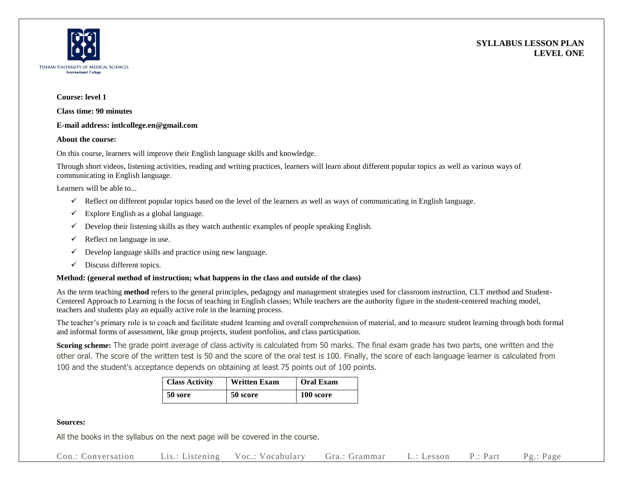



## **Course: level 1**

**Class time: 90 minutes**

## **E-mail address: intlcollege.en@gmail.com**

## **About the course:**

On this course, learners will improve their English language skills and knowledge.

Through short videos, listening activities, reading and writing practices, learners will learn about different popular topics as well as various ways of communicating in English language.

Learners will be able to...

- $\checkmark$  Reflect on different popular topics based on the level of the learners as well as ways of communicating in English language.
- $\checkmark$  Explore English as a global language.
- $\checkmark$  Develop their listening skills as they watch authentic examples of people speaking English.
- $\checkmark$  Reflect on language in use.
- $\checkmark$  Develop language skills and practice using new language.
- $\checkmark$  Discuss different topics.

# **Method: (general method of instruction; what happens in the class and outside of the class)**

As the term teaching **method** refers to the general principles, pedagogy and management strategies used for classroom instruction, CLT method and Student-Centered Approach to Learning is the focus of teaching in English classes; While teachers are the authority figure in the student-centered teaching model, teachers and students play an equally active role in the learning process.

The teacher's primary role is to coach and facilitate student learning and overall comprehension of material, and to measure student learning through both formal and informal forms of assessment, like group projects, student portfolios, and class participation.

**Scoring scheme:** The grade point average of class activity is calculated from 50 marks. The final exam grade has two parts, one written and the other oral. The score of the written test is 50 and the score of the oral test is 100. Finally, the score of each language learner is calculated from 100 and the student's acceptance depends on obtaining at least 75 points out of 100 points.

| <b>Class Activity</b> | <b>Written Exam</b> | <b>Oral Exam</b> |
|-----------------------|---------------------|------------------|
| 50 sore               | 50 score            | 100 score        |

# **Sources:**

All the books in the syllabus on the next page will be covered in the course.

Con.: Conversation Lis.: Listening Voc.: Vocabulary Gra.: Grammar L.: Lesson P.: Part Pg.: Page